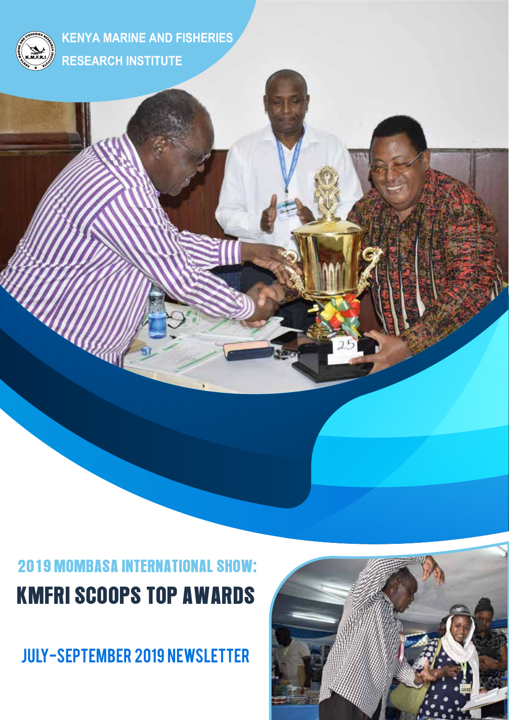

**KENYA MARINE AND FISHERIES RESEARCH INSTITUTE** 

# 2019 MOMBASA INTERNATIONAL SHOW: KMFRI SCOOPS TOP AWARDS

July-September 2019 newsletter

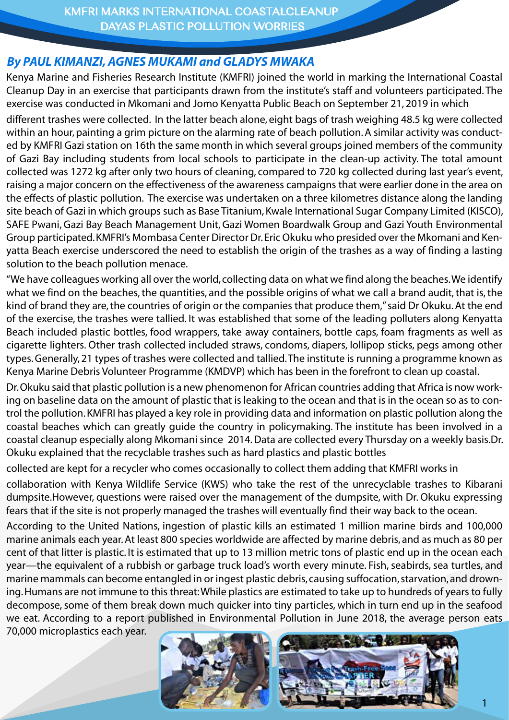#### *By PAUL KIMANZI, AGNES MUKAMI and GLADYS MWAKA*

Kenya Marine and Fisheries Research Institute (KMFRI) joined the world in marking the International Coastal Cleanup Day in an exercise that participants drawn from the institute's staff and volunteers participated. The exercise was conducted in Mkomani and Jomo Kenyatta Public Beach on September 21, 2019 in which

different trashes were collected. In the latter beach alone, eight bags of trash weighing 48.5 kg were collected within an hour, painting a grim picture on the alarming rate of beach pollution. A similar activity was conducted by KMFRI Gazi station on 16th the same month in which several groups joined members of the community of Gazi Bay including students from local schools to participate in the clean-up activity. The total amount collected was 1272 kg after only two hours of cleaning, compared to 720 kg collected during last year's event, raising a major concern on the effectiveness of the awareness campaigns that were earlier done in the area on the effects of plastic pollution. The exercise was undertaken on a three kilometres distance along the landing site beach of Gazi in which groups such as Base Titanium, Kwale International Sugar Company Limited (KISCO), SAFE Pwani, Gazi Bay Beach Management Unit, Gazi Women Boardwalk Group and Gazi Youth Environmental Group participated. KMFRI's Mombasa Center Director Dr. Eric Okuku who presided over the Mkomani and Kenyatta Beach exercise underscored the need to establish the origin of the trashes as a way of finding a lasting solution to the beach pollution menace.

"We have colleagues working all over the world, collecting data on what we find along the beaches. We identify what we find on the beaches, the quantities, and the possible origins of what we call a brand audit, that is, the kind of brand they are, the countries of origin or the companies that produce them," said Dr Okuku. At the end of the exercise, the trashes were tallied. It was established that some of the leading polluters along Kenyatta Beach included plastic bottles, food wrappers, take away containers, bottle caps, foam fragments as well as cigarette lighters. Other trash collected included straws, condoms, diapers, lollipop sticks, pegs among other types. Generally, 21 types of trashes were collected and tallied. The institute is running a programme known as Kenya Marine Debris Volunteer Programme (KMDVP) which has been in the forefront to clean up coastal.

Dr. Okuku said that plastic pollution is a new phenomenon for African countries adding that Africa is now working on baseline data on the amount of plastic that is leaking to the ocean and that is in the ocean so as to control the pollution. KMFRI has played a key role in providing data and information on plastic pollution along the coastal beaches which can greatly guide the country in policymaking. The institute has been involved in a coastal cleanup especially along Mkomani since 2014. Data are collected every Thursday on a weekly basis.Dr. Okuku explained that the recyclable trashes such as hard plastics and plastic bottles

collected are kept for a recycler who comes occasionally to collect them adding that KMFRI works in

collaboration with Kenya Wildlife Service (KWS) who take the rest of the unrecyclable trashes to Kibarani dumpsite.However, questions were raised over the management of the dumpsite, with Dr. Okuku expressing fears that if the site is not properly managed the trashes will eventually find their way back to the ocean.

According to the United Nations, ingestion of plastic kills an estimated 1 million marine birds and 100,000 marine animals each year. At least 800 species worldwide are affected by marine debris, and as much as 80 per cent of that litter is plastic. It is estimated that up to 13 million metric tons of plastic end up in the ocean each year—the equivalent of a rubbish or garbage truck load's worth every minute. Fish, seabirds, sea turtles, and marine mammals can become entangled in or ingest plastic debris, causing suffocation, starvation, and drowning. Humans are not immune to this threat: While plastics are estimated to take up to hundreds of years to fully decompose, some of them break down much quicker into tiny particles, which in turn end up in the seafood we eat. According to a report published in Environmental Pollution in June 2018, the average person eats

70,000 microplastics each year.

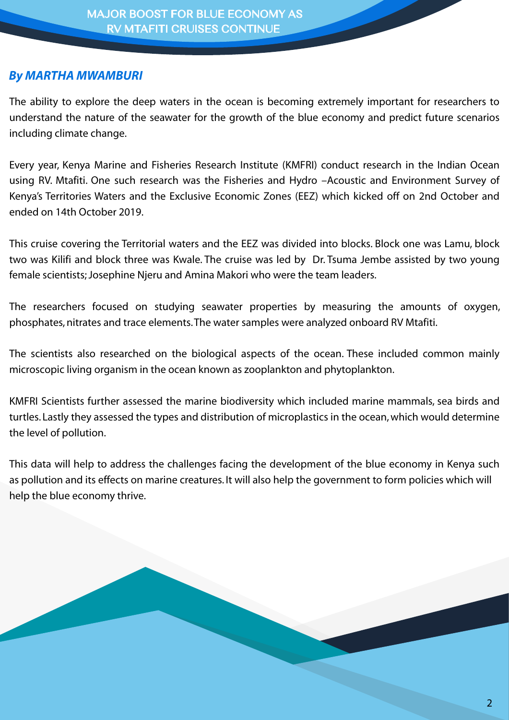#### *By MARTHA MWAMBURI*

The ability to explore the deep waters in the ocean is becoming extremely important for researchers to understand the nature of the seawater for the growth of the blue economy and predict future scenarios including climate change.

Every year, Kenya Marine and Fisheries Research Institute (KMFRI) conduct research in the Indian Ocean using RV. Mtafiti. One such research was the Fisheries and Hydro –Acoustic and Environment Survey of Kenya's Territories Waters and the Exclusive Economic Zones (EEZ) which kicked off on 2nd October and ended on 14th October 2019.

This cruise covering the Territorial waters and the EEZ was divided into blocks. Block one was Lamu, block two was Kilifi and block three was Kwale. The cruise was led by Dr. Tsuma Jembe assisted by two young female scientists; Josephine Njeru and Amina Makori who were the team leaders.

The researchers focused on studying seawater properties by measuring the amounts of oxygen, phosphates, nitrates and trace elements. The water samples were analyzed onboard RV Mtafiti.

The scientists also researched on the biological aspects of the ocean. These included common mainly microscopic living organism in the ocean known as zooplankton and phytoplankton.

KMFRI Scientists further assessed the marine biodiversity which included marine mammals, sea birds and turtles. Lastly they assessed the types and distribution of microplastics in the ocean, which would determine the level of pollution.

This data will help to address the challenges facing the development of the blue economy in Kenya such as pollution and its effects on marine creatures. It will also help the government to form policies which will help the blue economy thrive.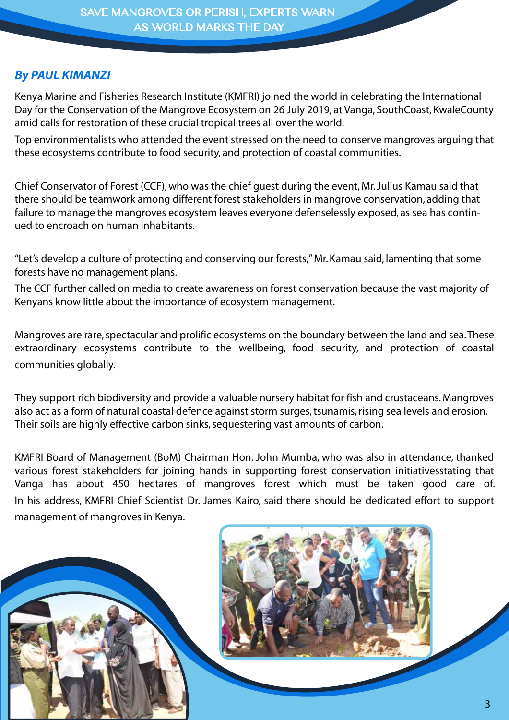# *By PAUL KIMANZI*

Kenya Marine and Fisheries Research Institute (KMFRI) joined the world in celebrating the International Day for the Conservation of the Mangrove Ecosystem on 26 July 2019, at Vanga, SouthCoast, KwaleCounty amid calls for restoration of these crucial tropical trees all over the world.

Top environmentalists who attended the event stressed on the need to conserve mangroves arguing that these ecosystems contribute to food security, and protection of coastal communities.

Chief Conservator of Forest (CCF), who was the chief guest during the event, Mr. Julius Kamau said that there should be teamwork among different forest stakeholders in mangrove conservation, adding that failure to manage the mangroves ecosystem leaves everyone defenselessly exposed, as sea has continued to encroach on human inhabitants.

"Let's develop a culture of protecting and conserving our forests," Mr. Kamau said, lamenting that some forests have no management plans.

The CCF further called on media to create awareness on forest conservation because the vast majority of Kenyans know little about the importance of ecosystem management.

Mangroves are rare, spectacular and prolific ecosystems on the boundary between the land and sea. These extraordinary ecosystems contribute to the wellbeing, food security, and protection of coastal communities globally.

They support rich biodiversity and provide a valuable nursery habitat for fish and crustaceans. Mangroves also act as a form of natural coastal defence against storm surges, tsunamis, rising sea levels and erosion. Their soils are highly effective carbon sinks, sequestering vast amounts of carbon.

KMFRI Board of Management (BoM) Chairman Hon. John Mumba, who was also in attendance, thanked various forest stakeholders for joining hands in supporting forest conservation initiativesstating that Vanga has about 450 hectares of mangroves forest which must be taken good care of. In his address, KMFRI Chief Scientist Dr. James Kairo, said there should be dedicated effort to support management of mangroves in Kenya.

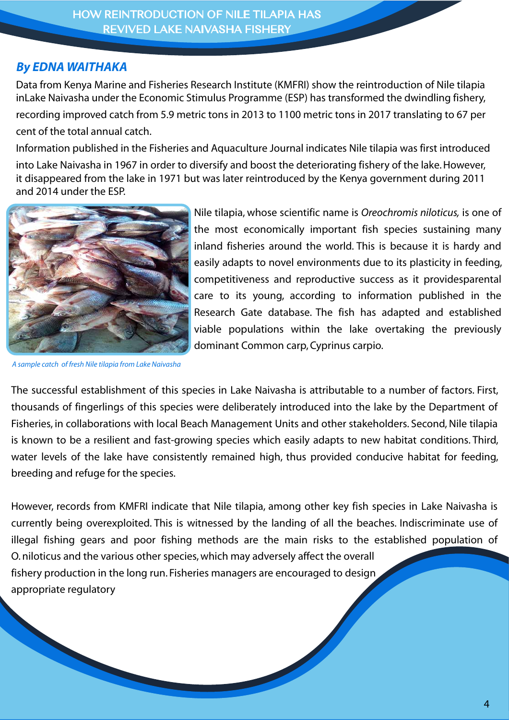HOW REINTRODUCTION OF NILE TILAPIA HAS REVIVED LAKE NAIVASHA FISHERY

## *By EDNA WAITHAKA*

Data from Kenya Marine and Fisheries Research Institute (KMFRI) show the reintroduction of Nile tilapia inLake Naivasha under the Economic Stimulus Programme (ESP) has transformed the dwindling fishery, recording improved catch from 5.9 metric tons in 2013 to 1100 metric tons in 2017 translating to 67 per

cent of the total annual catch.

Information published in the Fisheries and Aquaculture Journal indicates Nile tilapia was first introduced

into Lake Naivasha in 1967 in order to diversify and boost the deteriorating fishery of the lake. However, it disappeared from the lake in 1971 but was later reintroduced by the Kenya government during 2011 and 2014 under the ESP.



*A sample catch of fresh Nile tilapia from Lake Naivasha*

Nile tilapia, whose scientific name is *Oreochromis niloticus,* is one of the most economically important fish species sustaining many inland fisheries around the world. This is because it is hardy and easily adapts to novel environments due to its plasticity in feeding, competitiveness and reproductive success as it providesparental care to its young, according to information published in the Research Gate database. The fish has adapted and established viable populations within the lake overtaking the previously dominant Common carp, Cyprinus carpio.

The successful establishment of this species in Lake Naivasha is attributable to a number of factors. First, thousands of fingerlings of this species were deliberately introduced into the lake by the Department of Fisheries, in collaborations with local Beach Management Units and other stakeholders. Second, Nile tilapia is known to be a resilient and fast-growing species which easily adapts to new habitat conditions. Third, water levels of the lake have consistently remained high, thus provided conducive habitat for feeding, breeding and refuge for the species.

However, records from KMFRI indicate that Nile tilapia, among other key fish species in Lake Naivasha is currently being overexploited. This is witnessed by the landing of all the beaches. Indiscriminate use of illegal fishing gears and poor fishing methods are the main risks to the established population of O. niloticus and the various other species, which may adversely affect the overall fishery production in the long run. Fisheries managers are encouraged to design appropriate regulatory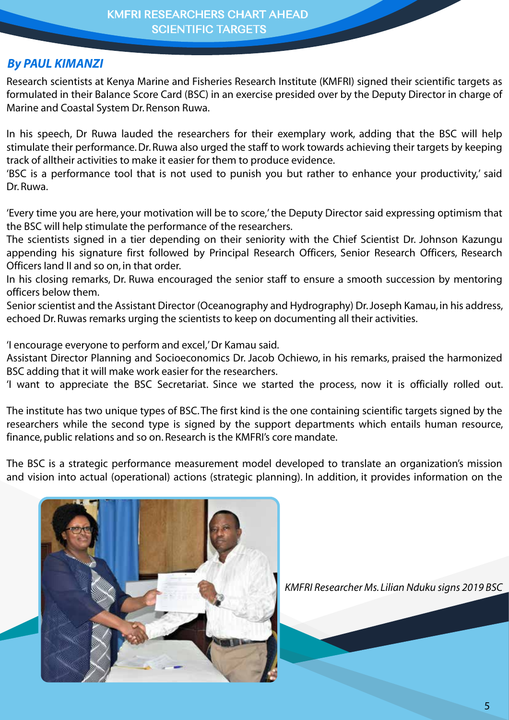# *By PAUL KIMANZI*

Research scientists at Kenya Marine and Fisheries Research Institute (KMFRI) signed their scientific targets as formulated in their Balance Score Card (BSC) in an exercise presided over by the Deputy Director in charge of Marine and Coastal System Dr. Renson Ruwa.

In his speech, Dr Ruwa lauded the researchers for their exemplary work, adding that the BSC will help stimulate their performance. Dr. Ruwa also urged the staff to work towards achieving their targets by keeping track of alltheir activities to make it easier for them to produce evidence.

'BSC is a performance tool that is not used to punish you but rather to enhance your productivity,' said Dr. Ruwa.

'Every time you are here, your motivation will be to score,' the Deputy Director said expressing optimism that the BSC will help stimulate the performance of the researchers.

The scientists signed in a tier depending on their seniority with the Chief Scientist Dr. Johnson Kazungu appending his signature first followed by Principal Research Officers, Senior Research Officers, Research Officers Iand II and so on, in that order.

In his closing remarks, Dr. Ruwa encouraged the senior staff to ensure a smooth succession by mentoring officers below them.

Senior scientist and the Assistant Director (Oceanography and Hydrography) Dr. Joseph Kamau, in his address, echoed Dr. Ruwas remarks urging the scientists to keep on documenting all their activities.

'I encourage everyone to perform and excel,' Dr Kamau said.

Assistant Director Planning and Socioeconomics Dr. Jacob Ochiewo, in his remarks, praised the harmonized BSC adding that it will make work easier for the researchers.

'I want to appreciate the BSC Secretariat. Since we started the process, now it is officially rolled out.

The institute has two unique types of BSC. The first kind is the one containing scientific targets signed by the researchers while the second type is signed by the support departments which entails human resource, finance, public relations and so on. Research is the KMFRI's core mandate.

The BSC is a strategic performance measurement model developed to translate an organization's mission and vision into actual (operational) actions (strategic planning). In addition, it provides information on the



*KMFRI Researcher Ms. Lilian Nduku signs 2019 BSC*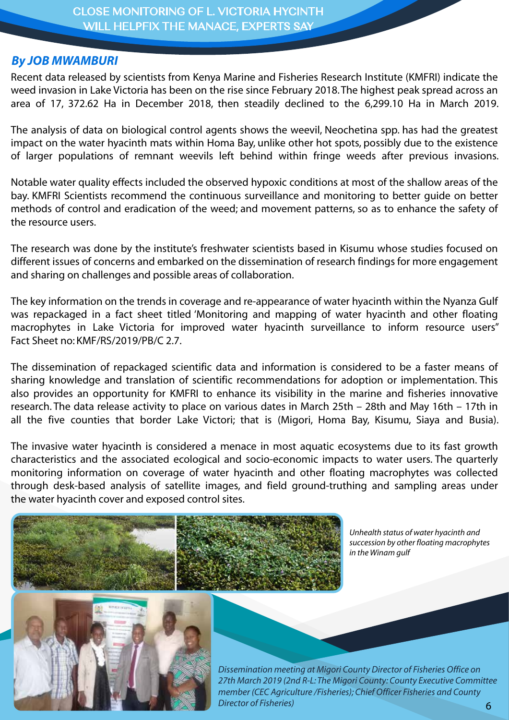#### *By JOB MWAMBURI*

Recent data released by scientists from Kenya Marine and Fisheries Research Institute (KMFRI) indicate the weed invasion in Lake Victoria has been on the rise since February 2018. The highest peak spread across an area of 17, 372.62 Ha in December 2018, then steadily declined to the 6,299.10 Ha in March 2019.

The analysis of data on biological control agents shows the weevil, Neochetina spp. has had the greatest impact on the water hyacinth mats within Homa Bay, unlike other hot spots, possibly due to the existence of larger populations of remnant weevils left behind within fringe weeds after previous invasions.

Notable water quality effects included the observed hypoxic conditions at most of the shallow areas of the bay. KMFRI Scientists recommend the continuous surveillance and monitoring to better guide on better methods of control and eradication of the weed; and movement patterns, so as to enhance the safety of the resource users.

The research was done by the institute's freshwater scientists based in Kisumu whose studies focused on different issues of concerns and embarked on the dissemination of research findings for more engagement and sharing on challenges and possible areas of collaboration.

The key information on the trends in coverage and re-appearance of water hyacinth within the Nyanza Gulf was repackaged in a fact sheet titled 'Monitoring and mapping of water hyacinth and other floating macrophytes in Lake Victoria for improved water hyacinth surveillance to inform resource users" Fact Sheet no: KMF/RS/2019/PB/C 2.7.

The dissemination of repackaged scientific data and information is considered to be a faster means of sharing knowledge and translation of scientific recommendations for adoption or implementation. This also provides an opportunity for KMFRI to enhance its visibility in the marine and fisheries innovative research. The data release activity to place on various dates in March 25th – 28th and May 16th – 17th in all the five counties that border Lake Victori; that is (Migori, Homa Bay, Kisumu, Siaya and Busia).

The invasive water hyacinth is considered a menace in most aquatic ecosystems due to its fast growth characteristics and the associated ecological and socio-economic impacts to water users. The quarterly monitoring information on coverage of water hyacinth and other floating macrophytes was collected through desk-based analysis of satellite images, and field ground-truthing and sampling areas under the water hyacinth cover and exposed control sites.



*Unhealth status of water hyacinth and succession by other floating macrophytes in the Winam gulf*



*Dissemination meeting at Migori County Director of Fisheries Office on 27th March 2019 (2nd R-L: The Migori County: County Executive Committee member (CEC Agriculture /Fisheries); Chief Officer Fisheries and County Director of Fisheries)* 6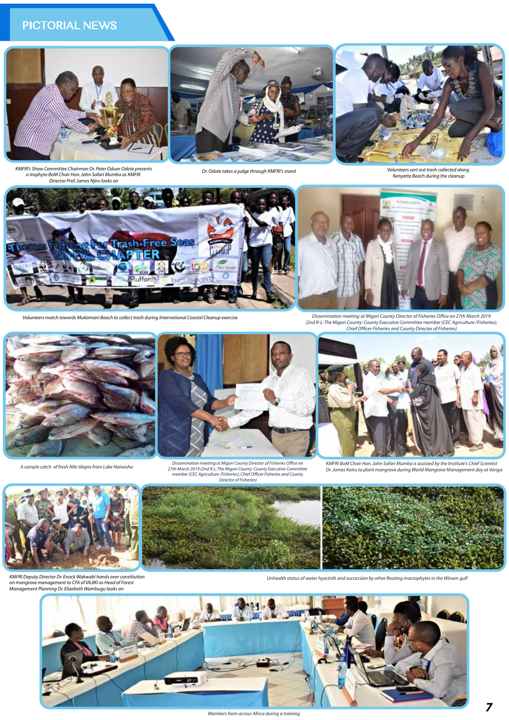

*KMFRI's Show Committee Chairman Dr. Peter Oduor Odote presents a trophyto BoM Chair Hon. John Safari Mumba as KMFRI Director Prof. James Njiru looks on*

*Dr. Odote takes a judge through KMFRI's stand Volunteers sort out trash collected along Kenyatta Beach during the cleanup*



*Volunteers match towards Mukomani Beach to collect trash during International Coastal Cleanup exercise*

*Dissemination meeting at Migori County Director of Fisheries Office on 27th March 2019 (2nd R-L: The Migori County: County Executive Committee member (CEC Agriculture /Fisheries); Chief Officer Fisheries and County Director of Fisheries)*



*A sample catch of fresh Nile tilapia from Lake Naivasha*



Dissemination meeting at Migori County Director of Fisheries Office on<br>27th March 2019 (2nd R-L: The Migori County: County Executive Committee<br>member (CEC Agriculture Fisheries)<br>Director of Fisheries)<br>Director of Fisheries



*KMFRI BoM Chair Hon. John Safari Mumba is assisted by the Institute's Chief Scientist Dr. James Kairu to plant mangrove during World Mangrove Management day at Vanga*



*KMFRI Deputy Director Dr. Enock Wakwabi hands over constitution on mangrove management to CFA of VAJIKI as Head of Forest Management Planning Dr. Elizabeth Wambugu looks on*



*Unhealth status of water hyacinth and succession by other floating macrophytes in the Winam gulf*



*Members from across Africa during a training*